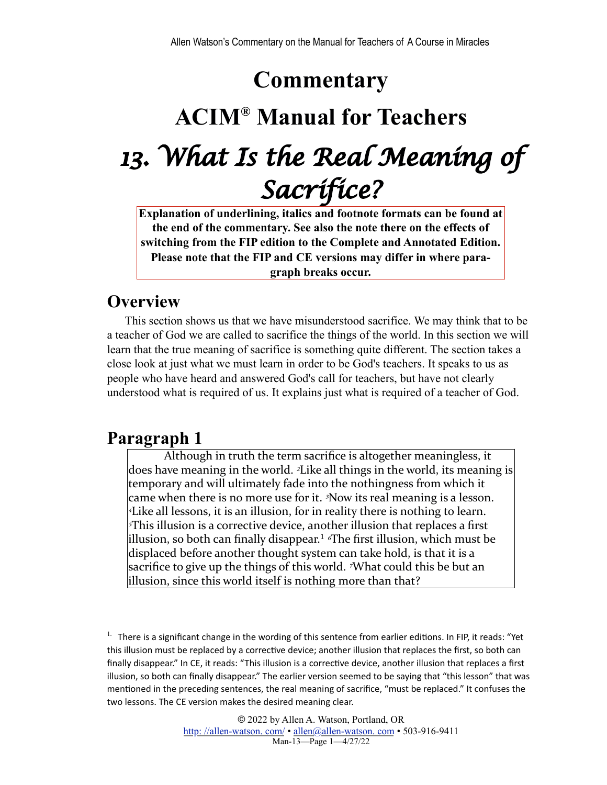## **Commentary**

# **ACIM® Manual for Teachers** *13. What Is the Real Meaning of Sacrifice?*

**Explanation of underlining, italics and footnote formats can be found at the end of the commentary. See also the note there on the effects of switching from the FIP edition to the Complete and Annotated Edition. Please note that the FIP and CE versions may differ in where paragraph breaks occur.**

## **Overview**

This section shows us that we have misunderstood sacrifice. We may think that to be a teacher of God we are called to sacrifice the things of the world. In this section we will learn that the true meaning of sacrifice is something quite different. The section takes a close look at just what we must learn in order to be God's teachers. It speaks to us as people who have heard and answered God's call for teachers, but have not clearly understood what is required of us. It explains just what is required of a teacher of God.

## **Paragraph 1**

<span id="page-0-1"></span>Although in truth the term sacrifice is altogether meaningless, it does have meaning in the world. <sup>2</sup>Like all things in the world, its meaning is temporary and will ultimately fade into the nothingness from which it came when there is no more use for it. <sup>3</sup>Now its real meaning is a lesson. *<sup>4</sup>Like all lessons, it is an illusion, for in reality there is nothing to learn.* <sup>*This illusion is a corrective device, another illusion that replaces a first</sup>* illusion, so both can finally disappear.<sup>1</sup> <sup>*«*The first illusion, which must be</sup> displaced before another thought system can take hold, is that it is a sacrifice to give up the things of this world. <sup>7</sup>What could this be but an illusion, since this world itself is nothing more than that?

<span id="page-0-0"></span><sup>1.</sup> There is a significant change in the wording of this sentence from earlier editions. In FIP, it reads: "Yet this illusion must be replaced by a corrective device; another illusion that replaces the first, so both can finally disappear." In CE, it reads: "This illusion is a corrective device, another illusion that replaces a first illusion, so both can finally disappear." The earlier version seemed to be saying that "this lesson" that was mentioned in the preceding sentences, the real meaning of sacrifice, "must be replaced." It confuses the two lessons. The CE version makes the desired meaning clear.

> © 2022 by Allen A. Watson, Portland, OR [http: //allen-watson. com/](http://homepage.mac.com/allen_a_watson/ACIM_Workbook_Groups/) • [allen@allen-watson. com](mailto:allen@unityportland.org) • 503-916-9411 Man-13—Page 1—4/27/22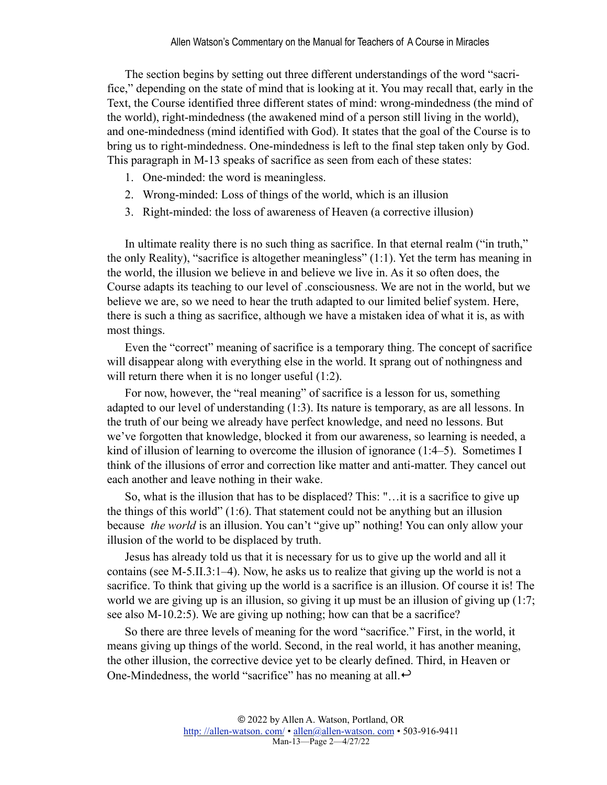The section begins by setting out three different understandings of the word "sacrifice," depending on the state of mind that is looking at it. You may recall that, early in the Text, the Course identified three different states of mind: wrong-mindedness (the mind of the world), right-mindedness (the awakened mind of a person still living in the world), and one-mindedness (mind identified with God). It states that the goal of the Course is to bring us to right-mindedness. One-mindedness is left to the final step taken only by God. This paragraph in M-13 speaks of sacrifice as seen from each of these states:

- 1. One-minded: the word is meaningless.
- 2. Wrong-minded: Loss of things of the world, which is an illusion
- 3. Right-minded: the loss of awareness of Heaven (a corrective illusion)

In ultimate reality there is no such thing as sacrifice. In that eternal realm ("in truth," the only Reality), "sacrifice is altogether meaningless" (1:1). Yet the term has meaning in the world, the illusion we believe in and believe we live in. As it so often does, the Course adapts its teaching to our level of .consciousness. We are not in the world, but we believe we are, so we need to hear the truth adapted to our limited belief system. Here, there is such a thing as sacrifice, although we have a mistaken idea of what it is, as with most things.

Even the "correct" meaning of sacrifice is a temporary thing. The concept of sacrifice will disappear along with everything else in the world. It sprang out of nothingness and will return there when it is no longer useful  $(1:2)$ .

For now, however, the "real meaning" of sacrifice is a lesson for us, something adapted to our level of understanding (1:3). Its nature is temporary, as are all lessons. In the truth of our being we already have perfect knowledge, and need no lessons. But we've forgotten that knowledge, blocked it from our awareness, so learning is needed, a kind of illusion of learning to overcome the illusion of ignorance (1:4–5). Sometimes I think of the illusions of error and correction like matter and anti-matter. They cancel out each another and leave nothing in their wake.

So, what is the illusion that has to be displaced? This: "…it is a sacrifice to give up the things of this world" (1:6). That statement could not be anything but an illusion because *the world* is an illusion. You can't "give up" nothing! You can only allow your illusion of the world to be displaced by truth.

Jesus has already told us that it is necessary for us to give up the world and all it contains (see M-5.II.3:1–4). Now, he asks us to realize that giving up the world is not a sacrifice. To think that giving up the world is a sacrifice is an illusion. Of course it is! The world we are giving up is an illusion, so giving it up must be an illusion of giving up (1:7; see also M-10.2:5). We are giving up nothing; how can that be a sacrifice?

So there are three levels of meaning for the word "sacrifice." First, in the world, it means giving up things of the world. Second, in the real world, it has another meaning, the other illusion, the corrective device yet to be clearly defined. Third, in Heaven or One-Mindedness, the world "sacrifice" has no meaning at all. $\leftrightarrow$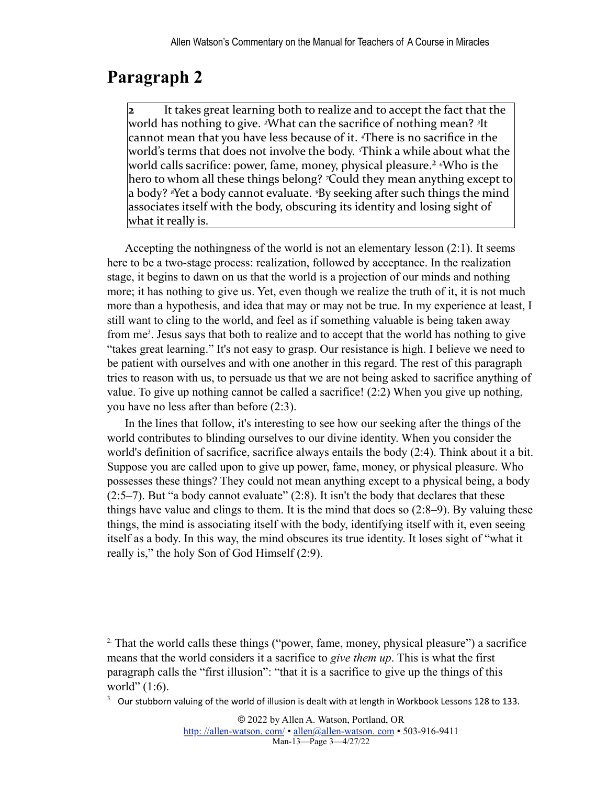<span id="page-2-2"></span>It takes great learning both to realize and to accept the fact that the world has nothing to give. <sup>2</sup>What can the sacrifice of nothing mean? <sup>3</sup>It cannot mean that you have less because of it. <sup>4</sup>There is no sacrifice in the world's terms that does not involve the body. <sup>*s*Think a while about what the</sup> world calls sacrifice: power, fame, money, physical pleasure.<sup>2</sup> <sup>*«*Who is the</sup> hero to whom all these things belong? *<sup>7</sup>*Could they mean anything except to a body? <sup>*s*</sup>Yet a body cannot evaluate. *<sup>9</sup>By* seeking after such things the mind associates itself with the body, obscuring its identity and losing sight of what it really is.

<span id="page-2-3"></span>Accepting the nothingness of the world is not an elementary lesson (2:1). It seems here to be a two-stage process: realization, followed by acceptance. In the realization stage, it begins to dawn on us that the world is a projection of our minds and nothing more; it has nothing to give us. Yet, even though we realize the truth of it, it is not much more than a hypothesis, and idea that may or may not be true. In my experience at least, I still want to cling to the world, and feel as if something valuable is being taken away from me<sup>[3](#page-2-1)</sup>. Jesus says that both to realize and to accept that the world has nothing to give "takes great learning." It's not easy to grasp. Our resistance is high. I believe we need to be patient with ourselves and with one another in this regard. The rest of this paragraph tries to reason with us, to persuade us that we are not being asked to sacrifice anything of value. To give up nothing cannot be called a sacrifice! (2:2) When you give up nothing, you have no less after than before (2:3).

In the lines that follow, it's interesting to see how our seeking after the things of the world contributes to blinding ourselves to our divine identity. When you consider the world's definition of sacrifice, sacrifice always entails the body (2:4). Think about it a bit. Suppose you are called upon to give up power, fame, money, or physical pleasure. Who possesses these things? They could not mean anything except to a physical being, a body  $(2:5-7)$ . But "a body cannot evaluate"  $(2:8)$ . It isn't the body that declares that these things have value and clings to them. It is the mind that does so (2:8–9). By valuing these things, the mind is associating itself with the body, identifying itself with it, even seeing itself as a body. In this way, the mind obscures its true identity. It loses sight of "what it really is," the holy Son of God Himself (2:9).

<span id="page-2-0"></span><sup>&</sup>lt;sup>2</sup>. That the world calls these things ("power, fame, money, physical pleasure") a sacrifice means that the world considers it a sacrifice to *give them up*. This is what the first paragraph calls the "first illusion": "that it is a sacrifice to give up the things of this world" (1:6).

<span id="page-2-1"></span> $3.$  Our stubborn valuing of the world of illusion is dealt with at length in Workbook Lessons 128 to 133.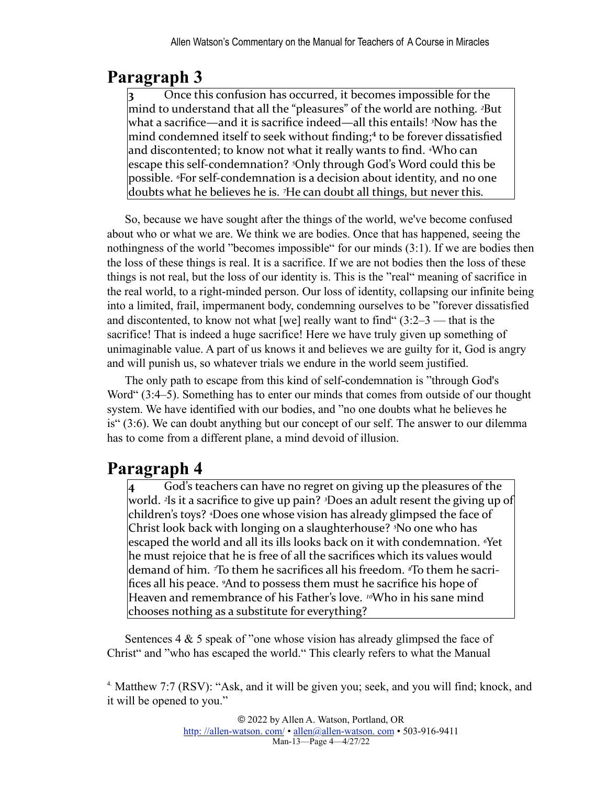<span id="page-3-1"></span>**3** Once this confusion has occurred, it becomes impossible for the mind to understand that all the "pleasures" of the world are nothing. <sup>2</sup>But what a sacrifice—and it is sacrifice indeed—all this entails! <sup>3</sup>Now has the mind condemned itself to seek without finding; $4$  to be forever dissatisfied and discontented; to know not what it really wants to find. <sup>4</sup>Who can escape this self-condemnation? <sup>5</sup>Only through God's Word could this be possible. *<sup>6</sup>For self-condemnation* is a decision about identity, and no one doubts what he believes he is. <sup>7</sup>He can doubt all things, but never this.

So, because we have sought after the things of the world, we've become confused about who or what we are. We think we are bodies. Once that has happened, seeing the nothingness of the world "becomes impossible" for our minds  $(3:1)$ . If we are bodies then the loss of these things is real. It is a sacrifice. If we are not bodies then the loss of these things is not real, but the loss of our identity is. This is the "real" meaning of sacrifice in the real world, to a right-minded person. Our loss of identity, collapsing our infinite being into a limited, frail, impermanent body, condemning ourselves to be "forever dissatisfied and discontented, to know not what [we] really want to find  $(3:2-3$  — that is the sacrifice! That is indeed a huge sacrifice! Here we have truly given up something of unimaginable value. A part of us knows it and believes we are guilty for it, God is angry and will punish us, so whatever trials we endure in the world seem justified.

The only path to escape from this kind of self-condemnation is "through God's Word" (3:4–5). Something has to enter our minds that comes from outside of our thought system. We have identified with our bodies, and "no one doubts what he believes he is" (3:6). We can doubt anything but our concept of our self. The answer to our dilemma has to come from a different plane, a mind devoid of illusion.

## **Paragraph 4**

**4** God's teachers can have no regret on giving up the pleasures of the world. <sup>2</sup>Is it a sacrifice to give up pain? <sup>3</sup>Does an adult resent the giving up of children's toys? <sup>4</sup>Does one whose vision has already glimpsed the face of Christ look back with longing on a slaughterhouse? <sup>5</sup>No one who has escaped the world and all its ills looks back on it with condemnation. <sup>*«*Yet</sup> he must rejoice that he is free of all the sacrifices which its values would demand of him. *T*o them he sacrifices all his freedom. *<sup>8</sup>*To them he sacrifices all his peace. <sup>9</sup>And to possess them must he sacrifice his hope of Heaven and remembrance of his Father's love. <sup>10</sup>Who in his sane mind chooses nothing as a substitute for everything?

Sentences 4 & 5 speak of "one whose vision has already glimpsed the face of Christ" and "who has escaped the world." This clearly refers to what the Manual

<span id="page-3-0"></span>[4. M](#page-3-1)atthew 7:7 (RSV): "Ask, and it will be given you; seek, and you will find; knock, and it will be opened to you."

> © 2022 by Allen A. Watson, Portland, OR http://allen-watson.com/ • allen@allen-watson.com • 503-916-9411 Man-13—Page 4—4/27/22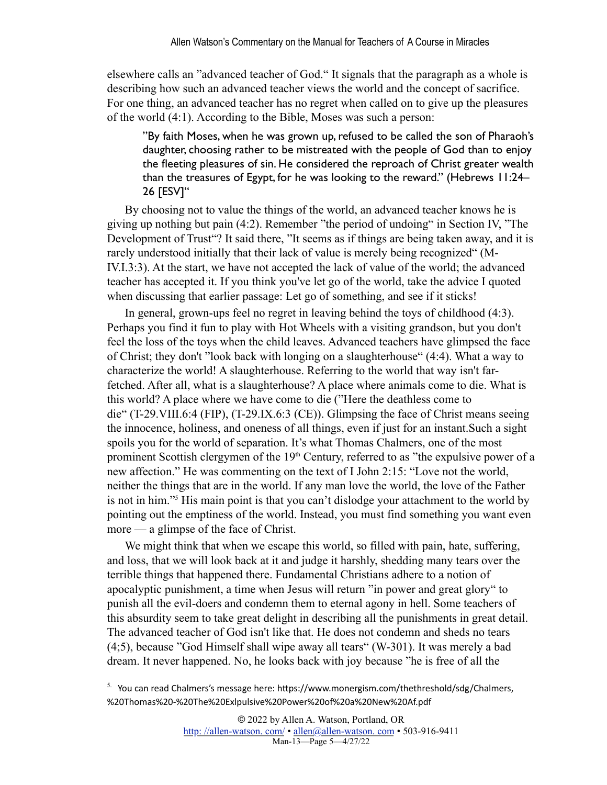elsewhere calls an "advanced teacher of God." It signals that the paragraph as a whole is describing how such an advanced teacher views the world and the concept of sacrifice. For one thing, an advanced teacher has no regret when called on to give up the pleasures of the world (4:1). According to the Bible, Moses was such a person:

"By faith Moses, when he was grown up, refused to be called the son of Pharaoh's daughter, choosing rather to be mistreated with the people of God than to enjoy the fleeting pleasures of sin. He considered the reproach of Christ greater wealth than the treasures of Egypt, for he was looking to the reward." (Hebrews 11:24– 26 [ESV]"

By choosing not to value the things of the world, an advanced teacher knows he is giving up nothing but pain (4:2). Remember "the period of undoing" in Section IV, "The Development of Trust"? It said there, "It seems as if things are being taken away, and it is rarely understood initially that their lack of value is merely being recognized" (M-IV.I.3:3). At the start, we have not accepted the lack of value of the world; the advanced teacher has accepted it. If you think you've let go of the world, take the advice I quoted when discussing that earlier passage: Let go of something, and see if it sticks!

In general, grown-ups feel no regret in leaving behind the toys of childhood (4:3). Perhaps you find it fun to play with Hot Wheels with a visiting grandson, but you don't feel the loss of the toys when the child leaves. Advanced teachers have glimpsed the face of Christ; they don't "look back with longing on a slaughterhouse" (4:4). What a way to characterize the world! A slaughterhouse. Referring to the world that way isn't farfetched. After all, what is a slaughterhouse? A place where animals come to die. What is this world? A place where we have come to die ("Here the deathless come to die" (T-29.VIII.6:4 (FIP), (T-29.IX.6:3 (CE)). Glimpsing the face of Christ means seeing the innocence, holiness, and oneness of all things, even if just for an instant.Such a sight spoils you for the world of separation. It's what Thomas Chalmers, one of the most prominent Scottish clergymen of the 19<sup>th</sup> Century, referred to as "the expulsive power of a new affection." He was commenting on the text of I John 2:15: "Love not the world, neither the things that are in the world. If any man love the world, the love of the Father is not in him."[5](#page-4-0) His main point is that you can't dislodge your attachment to the world by pointing out the emptiness of the world. Instead, you must find something you want even more — a glimpse of the face of Christ.

<span id="page-4-1"></span>We might think that when we escape this world, so filled with pain, hate, suffering, and loss, that we will look back at it and judge it harshly, shedding many tears over the terrible things that happened there. Fundamental Christians adhere to a notion of apocalyptic punishment, a time when Jesus will return "in power and great glory" to punish all the evil-doers and condemn them to eternal agony in hell. Some teachers of this absurdity seem to take great delight in describing all the punishments in great detail. The advanced teacher of God isn't like that. He does not condemn and sheds no tears (4;5), because "God Himself shall wipe away all tears" (W-301). It was merely a bad dream. It never happened. No, he looks back with joy because "he is free of all the

<span id="page-4-0"></span> $5.$  You can read Chalmers's message here: https://www.monergism.com/thethreshold/sdg/Chalmers, [%20Thomas%20-%20The%20Exlpulsive%20Power%20of%20a%20New%20Af.pdf](https://www.monergism.com/thethreshold/sdg/Chalmers,%20Thomas%20-%20The%20Exlpulsive%20Power%20of%20a%20New%20Af.pdf)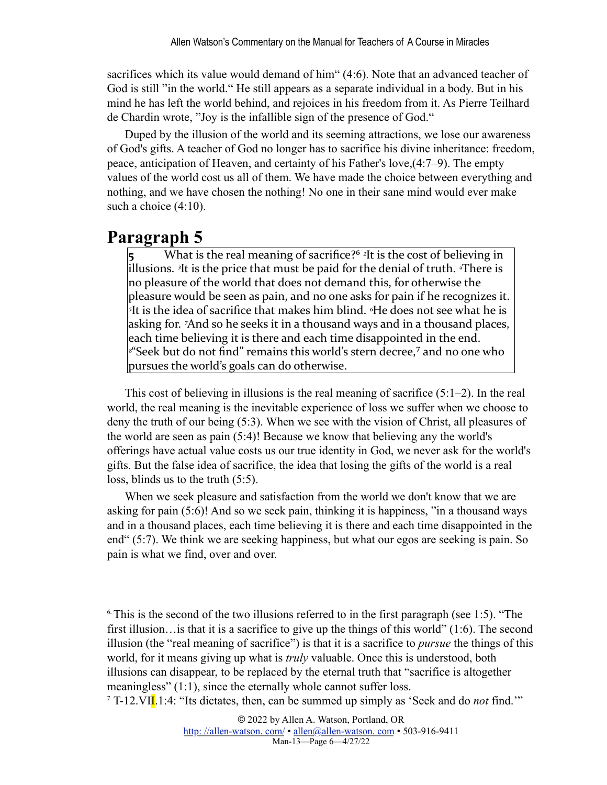sacrifices which its value would demand of him" (4:6). Note that an advanced teacher of God is still "in the world." He still appears as a separate individual in a body. But in his mind he has left the world behind, and rejoices in his freedom from it. As Pierre Teilhard de Chardin wrote, "Joy is the infallible sign of the presence of God."

Duped by the illusion of the world and its seeming attractions, we lose our awareness of God's gifts. A teacher of God no longer has to sacrifice his divine inheritance: freedom, peace, anticipation of Heaven, and certainty of his Father's love,(4:7–9). The empty values of the world cost us all of them. We have made the choice between everything and nothing, and we have chosen the nothing! No one in their sane mind would ever make such a choice  $(4:10)$ .

#### <span id="page-5-2"></span>**Paragraph 5**

What is the real meaning of sacrifice?<sup>6</sup> <sup>2</sup>It is the cost of believing in lillusions. <sup>3</sup>It is the price that must be paid for the denial of truth. <sup>4</sup>There is no pleasure of the world that does not demand this, for otherwise the pleasure would be seen as pain, and no one asks for pain if he recognizes it. <sup>*s*</sup>It is the idea of sacrifice that makes him blind. <sup>*«*He does not see what he is</sup> asking for. <sup>7</sup>And so he seeks it in a thousand ways and in a thousand places, each time believing it is there and each time disappointed in the end. <sup>*s*"</sup>Seek but do not find" remains this world's stern decree,<sup>7</sup> and no one who pursues the world's goals can do otherwise.

<span id="page-5-3"></span>This cost of believing in illusions is the real meaning of sacrifice  $(5:1-2)$ . In the real world, the real meaning is the inevitable experience of loss we suffer when we choose to deny the truth of our being (5:3). When we see with the vision of Christ, all pleasures of the world are seen as pain (5:4)! Because we know that believing any the world's offerings have actual value costs us our true identity in God, we never ask for the world's gifts. But the false idea of sacrifice, the idea that losing the gifts of the world is a real loss, blinds us to the truth (5:5).

When we seek pleasure and satisfaction from the world we don't know that we are asking for pain (5:6)! And so we seek pain, thinking it is happiness, "in a thousand ways and in a thousand places, each time believing it is there and each time disappointed in the end" (5:7). We think we are seeking happiness, but what our egos are seeking is pain. So pain is what we find, over and over.

<span id="page-5-0"></span> $6$ . This is the second of the two illusions referred to in the first paragraph (see 1:5). "The first illusion…is that it is a sacrifice to give up the things of this world" (1:6). The second illusion (the "real meaning of sacrifice") is that it is a sacrifice to *pursue* the things of this world, for it means giving up what is *truly* valuable. Once this is understood, both illusions can disappear, to be replaced by the eternal truth that "sacrifice is altogether meaningless" (1:1), since the eternally whole cannot suffer loss.

<span id="page-5-1"></span>[7.](#page-5-3)T-12.VII.1:4: "Its dictates, then, can be summed up simply as 'Seek and do *not* find.'"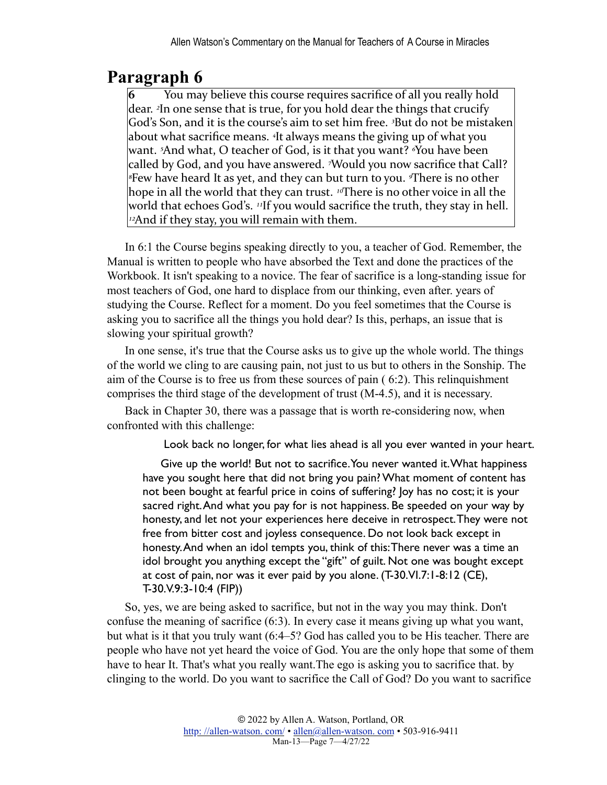**6** You may believe this course requires sacrifice of all you really hold dear. <sup>2</sup>In one sense that is true, for you hold dear the things that crucify God's Son, and it is the course's aim to set him free. <sup>3</sup>But do not be mistaken about what sacrifice means. <sup>4</sup>It always means the giving up of what you want. <sup>5</sup>And what, O teacher of God, is it that you want? <sup>*N*</sup>ou have been called by God, and you have answered. <sup>7</sup>Would you now sacrifice that Call? <sup>*§*Few have heard It as yet, and they can but turn to you. <sup>*§*There is no other</sup></sup> hope in all the world that they can trust. <sup>10</sup>There is no other voice in all the world that echoes God's. <sup>11</sup>If you would sacrifice the truth, they stay in hell.  $\nu$ <sup>2</sup>And if they stay, you will remain with them.

In 6:1 the Course begins speaking directly to you, a teacher of God. Remember, the Manual is written to people who have absorbed the Text and done the practices of the Workbook. It isn't speaking to a novice. The fear of sacrifice is a long-standing issue for most teachers of God, one hard to displace from our thinking, even after. years of studying the Course. Reflect for a moment. Do you feel sometimes that the Course is asking you to sacrifice all the things you hold dear? Is this, perhaps, an issue that is slowing your spiritual growth?

In one sense, it's true that the Course asks us to give up the whole world. The things of the world we cling to are causing pain, not just to us but to others in the Sonship. The aim of the Course is to free us from these sources of pain ( 6:2). This relinquishment comprises the third stage of the development of trust (M-4.5), and it is necessary.

Back in Chapter 30, there was a passage that is worth re-considering now, when confronted with this challenge:

Look back no longer, for what lies ahead is all you ever wanted in your heart.

Give up the world! But not to sacrifice. You never wanted it. What happiness have you sought here that did not bring you pain? What moment of content has not been bought at fearful price in coins of suffering? Joy has no cost; it is your sacred right. And what you pay for is not happiness. Be speeded on your way by honesty, and let not your experiences here deceive in retrospect. They were not free from bitter cost and joyless consequence. Do not look back except in honesty. And when an idol tempts you, think of this: There never was a time an idol brought you anything except the "gift" of guilt. Not one was bought except at cost of pain, nor was it ever paid by you alone. (T-30.VI.7:1-8:12 (CE), T-30.V.9:3-10:4 (FIP))

So, yes, we are being asked to sacrifice, but not in the way you may think. Don't confuse the meaning of sacrifice (6:3). In every case it means giving up what you want, but what is it that you truly want (6:4–5? God has called you to be His teacher. There are people who have not yet heard the voice of God. You are the only hope that some of them have to hear It. That's what you really want.The ego is asking you to sacrifice that. by clinging to the world. Do you want to sacrifice the Call of God? Do you want to sacrifice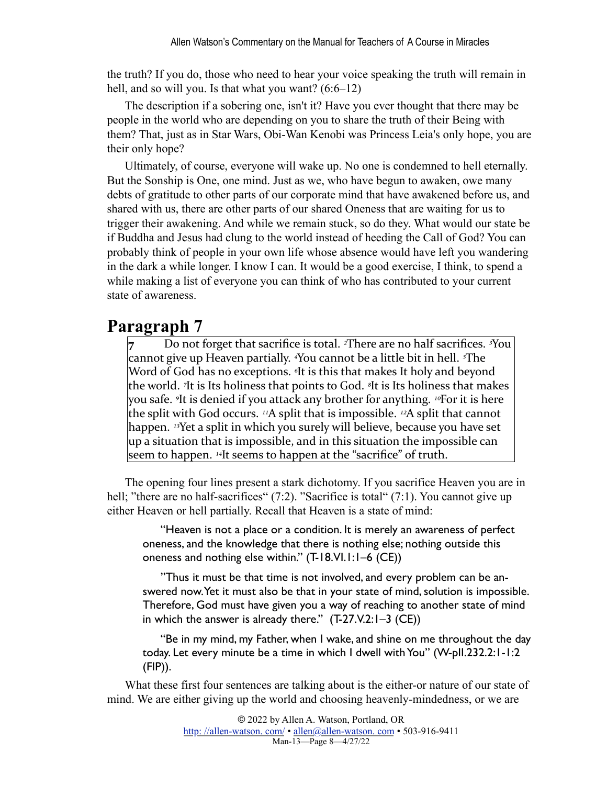the truth? If you do, those who need to hear your voice speaking the truth will remain in hell, and so will you. Is that what you want?  $(6.6-12)$ 

The description if a sobering one, isn't it? Have you ever thought that there may be people in the world who are depending on you to share the truth of their Being with them? That, just as in Star Wars, Obi-Wan Kenobi was Princess Leia's only hope, you are their only hope?

Ultimately, of course, everyone will wake up. No one is condemned to hell eternally. But the Sonship is One, one mind. Just as we, who have begun to awaken, owe many debts of gratitude to other parts of our corporate mind that have awakened before us, and shared with us, there are other parts of our shared Oneness that are waiting for us to trigger their awakening. And while we remain stuck, so do they. What would our state be if Buddha and Jesus had clung to the world instead of heeding the Call of God? You can probably think of people in your own life whose absence would have left you wandering in the dark a while longer. I know I can. It would be a good exercise, I think, to spend a while making a list of everyone you can think of who has contributed to your current state of awareness.

#### **Paragraph 7**

Do not forget that sacrifice is total. <sup>2</sup>There are no half sacrifices. <sup>3</sup>You cannot give up Heaven partially. <sup>*A*</sup>ou cannot be a little bit in hell. <sup>*<i>s*The</sup></sup> Word of God has no exceptions. <sup>*«It is this that makes It holy and beyond*</sup> the world. <sup>7</sup>It is Its holiness that points to God. <sup>*§*</sup>It is Its holiness that makes you safe. <sup>*It*</sup> is denied if you attack any brother for anything. <sup>10</sup>For it is here the split with God occurs. <sup>11</sup>A split that is impossible. <sup>12</sup>A split that cannot happen. <sup>13</sup>Yet a split in which you surely will believe, because you have set  $\mu$  a situation that is impossible, and in this situation the impossible can seem to happen. <sup>14</sup>It seems to happen at the "sacrifice" of truth.

The opening four lines present a stark dichotomy. If you sacrifice Heaven you are in hell; "there are no half-sacrifices" (7:2). "Sacrifice is total" (7:1). You cannot give up either Heaven or hell partially. Recall that Heaven is a state of mind:

"Heaven is not a place or a condition. It is merely an awareness of perfect oneness, and the knowledge that there is nothing else; nothing outside this oneness and nothing else within." (T-18.VI.1:1–6 (CE))

"Thus it must be that time is not involved, and every problem can be answered now. Yet it must also be that in your state of mind, solution is impossible. Therefore, God must have given you a way of reaching to another state of mind in which the answer is already there."  $(T-27.1/2:1-3$  (CE))

"Be in my mind, my Father, when I wake, and shine on me throughout the day today. Let every minute be a time in which I dwell with You" (W-pII.232.2:1-1:2 (FIP)).

What these first four sentences are talking about is the either-or nature of our state of mind. We are either giving up the world and choosing heavenly-mindedness, or we are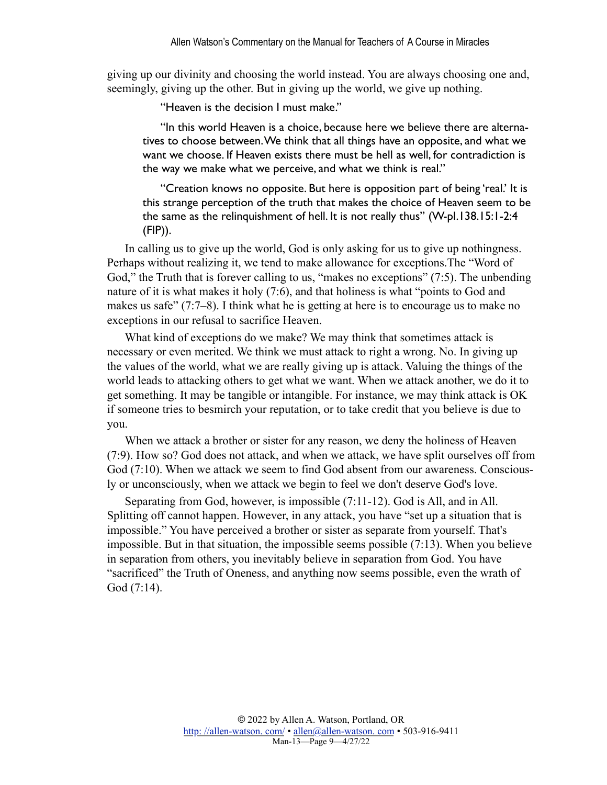giving up our divinity and choosing the world instead. You are always choosing one and, seemingly, giving up the other. But in giving up the world, we give up nothing.

"Heaven is the decision I must make."

"In this world Heaven is a choice, because here we believe there are alternatives to choose between. We think that all things have an opposite, and what we want we choose. If Heaven exists there must be hell as well, for contradiction is the way we make what we perceive, and what we think is real."

"Creation knows no opposite. But here is opposition part of being 'real.' It is this strange perception of the truth that makes the choice of Heaven seem to be the same as the relinquishment of hell. It is not really thus" (W-pI.138.15:1-2:4 (FIP)).

In calling us to give up the world, God is only asking for us to give up nothingness. Perhaps without realizing it, we tend to make allowance for exceptions.The "Word of God," the Truth that is forever calling to us, "makes no exceptions" (7:5). The unbending nature of it is what makes it holy (7:6), and that holiness is what "points to God and makes us safe" (7:7–8). I think what he is getting at here is to encourage us to make no exceptions in our refusal to sacrifice Heaven.

What kind of exceptions do we make? We may think that sometimes attack is necessary or even merited. We think we must attack to right a wrong. No. In giving up the values of the world, what we are really giving up is attack. Valuing the things of the world leads to attacking others to get what we want. When we attack another, we do it to get something. It may be tangible or intangible. For instance, we may think attack is OK if someone tries to besmirch your reputation, or to take credit that you believe is due to you.

When we attack a brother or sister for any reason, we deny the holiness of Heaven (7:9). How so? God does not attack, and when we attack, we have split ourselves off from God (7:10). When we attack we seem to find God absent from our awareness. Consciously or unconsciously, when we attack we begin to feel we don't deserve God's love.

Separating from God, however, is impossible (7:11-12). God is All, and in All. Splitting off cannot happen. However, in any attack, you have "set up a situation that is impossible." You have perceived a brother or sister as separate from yourself. That's impossible. But in that situation, the impossible seems possible (7:13). When you believe in separation from others, you inevitably believe in separation from God. You have "sacrificed" the Truth of Oneness, and anything now seems possible, even the wrath of God (7:14).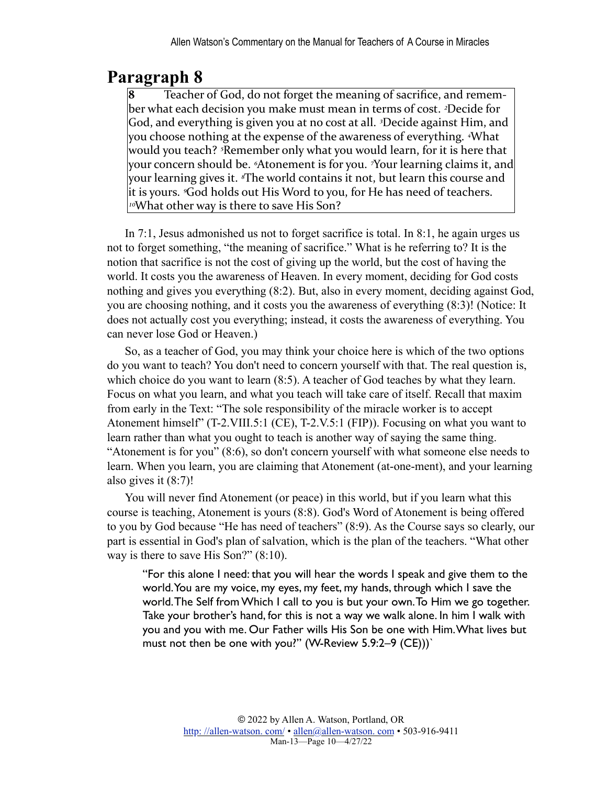Teacher of God, do not forget the meaning of sacrifice, and remember what each decision you make must mean in terms of cost. <sup>2</sup>Decide for God, and everything is given you at no cost at all. <sup>3</sup>Decide against Him, and you choose nothing at the expense of the awareness of everything. <sup>4</sup>What would you teach? <sup>*<sub>I***Remember only what you would learn, for it is here that**</sup></sub> your concern should be. <sup>5</sup>Atonement is for you. <sup>7</sup>Your learning claims it, and your learning gives it. <sup>*s*The world contains it not, but learn this course and</sup> it is yours. *God holds out His Word to you, for He has need of teachers.* <sup>10</sup>What other way is there to save His Son?

In 7:1, Jesus admonished us not to forget sacrifice is total. In 8:1, he again urges us not to forget something, "the meaning of sacrifice." What is he referring to? It is the notion that sacrifice is not the cost of giving up the world, but the cost of having the world. It costs you the awareness of Heaven. In every moment, deciding for God costs nothing and gives you everything (8:2). But, also in every moment, deciding against God, you are choosing nothing, and it costs you the awareness of everything (8:3)! (Notice: It does not actually cost you everything; instead, it costs the awareness of everything. You can never lose God or Heaven.)

So, as a teacher of God, you may think your choice here is which of the two options do you want to teach? You don't need to concern yourself with that. The real question is, which choice do you want to learn (8:5). A teacher of God teaches by what they learn. Focus on what you learn, and what you teach will take care of itself. Recall that maxim from early in the Text: "The sole responsibility of the miracle worker is to accept Atonement himself" (T-2.VIII.5:1 (CE), T-2.V.5:1 (FIP)). Focusing on what you want to learn rather than what you ought to teach is another way of saying the same thing. "Atonement is for you" (8:6), so don't concern yourself with what someone else needs to learn. When you learn, you are claiming that Atonement (at-one-ment), and your learning also gives it (8:7)!

You will never find Atonement (or peace) in this world, but if you learn what this course is teaching, Atonement is yours (8:8). God's Word of Atonement is being offered to you by God because "He has need of teachers" (8:9). As the Course says so clearly, our part is essential in God's plan of salvation, which is the plan of the teachers. "What other way is there to save His Son?" (8:10).

"For this alone I need: that you will hear the words I speak and give them to the world. You are my voice, my eyes, my feet, my hands, through which I save the world. The Self from Which I call to you is but your own. To Him we go together. Take your brother's hand, for this is not a way we walk alone. In him I walk with you and you with me. Our Father wills His Son be one with Him. What lives but must not then be one with you?" (W-Review 5.9:2–9 (CE)))`